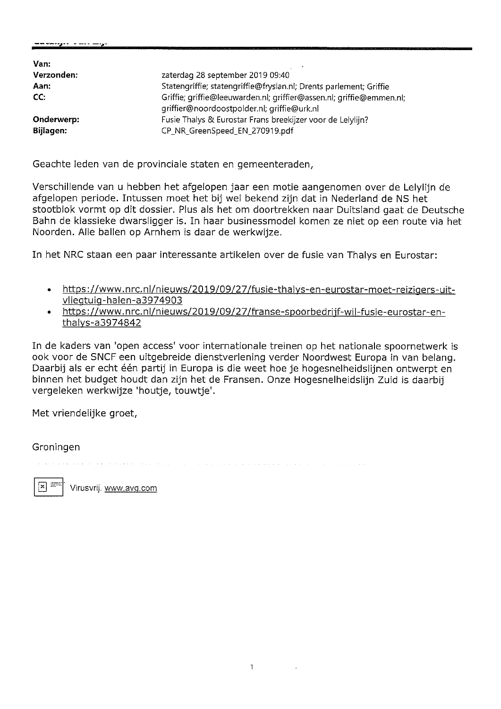| Van:       |                                                                                                                     |
|------------|---------------------------------------------------------------------------------------------------------------------|
| Verzonden: | zaterdag 28 september 2019 09:40                                                                                    |
| Aan:       | Statengriffie; statengriffie@fryslan.nl; Drents parlement; Griffie                                                  |
| CC:        | Griffie; griffie@leeuwarden.nl; griffier@assen.nl; griffie@emmen.nl;<br>griffier@noordoostpolder.nl; griffie@urk.nl |
| Onderwerp: | Fusie Thalys & Eurostar Frans breekijzer voor de Lelylijn?                                                          |
| Bijlagen:  | CP_NR_GreenSpeed_EN_270919.pdf                                                                                      |

Geachte leden van de provinciale staten en gemeenteraden,

Verschillende van u hebben het afgelopen jaar een motie aangenomen over de Lelylijn de afgelopen periode. Intussen moet het bij wel bekend zijn dat in Nederland de NS het stootblok vormt op dit dossier. Plus als het om doortrekken naar Duitsland gaat de Deutsche Bahn de klassieke dwarsligger is. In haar businessmodel komen ze niet op een route via het Noorden. Alle ballen op Arnhem is daar de werkwijze.

In het NRC staan een paar interessante artikelen over de fusie van Thalys en Eurostar:

- https://www.nrc.nl/nieuws/2019/09/27/fusie-thalys-en-eurostar-moet-reizigers-uit- $\bullet$ vliegtuig-halen-a3974903
- https://www.nrc.nl/nieuws/2019/09/27/franse-spoorbedrijf-wil-fusie-eurostar-enthalys-a3974842

In de kaders van 'open access' voor internationale treinen op het nationale spoornetwerk is ook voor de SNCF een uitgebreide dienstverlening verder Noordwest Europa in van belang. Daarbij als er echt één partij in Europa is die weet hoe je hogesnelheidslijnen ontwerpt en binnen het budget houdt dan zijn het de Fransen. Onze Hogesnelheidslijn Zuid is daarbij vergeleken werkwijze 'houtje, touwtje'.

Met vriendelijke groet,

Groningen

 $\mathbf{x}$ 

Virusvrij. www.avg.com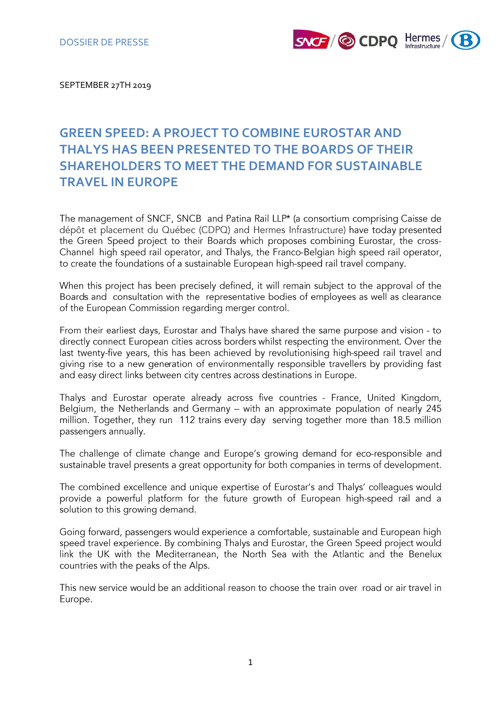

SEPTEMBER 27TH 2019

# **GREEN SPEED: A PROJECT TO COMBINE EUROSTAR AND THALYS HAS BEEN PRESENTED TO THE BOARDS OF THEIR SHAREHOLDERS TO MEET THE DEMAND FOR SUSTAINABLE TRAVEL IN EUROPE**

The management of SNCF, SNCB and Patina Rail LLP\* (a consortium comprising Caisse de dépôt et placement du Québec (CDPQ) and Hermes Infrastructure) have today presented the Green Speed project to their Boards which proposes combining Eurostar, the cross-Channel high speed rail operator, and Thalys, the Franco-Belgian high speed rail operator, to create the foundations of a sustainable European high-speed rail travel company.

When this project has been precisely defined, it will remain subject to the approval of the Boards and consultation with the representative bodies of employees as well as clearance of the European Commission regarding merger control.

From their earliest days, Eurostar and Thalys have shared the same purpose and vision - to directly connect European cities across borders whilst respecting the environment. Over the last twenty-five years, this has been achieved by revolutionising high-speed rail travel and giving rise to a new generation of environmentally responsible travellers by providing fast and easy direct links between city centres across destinations in Europe.

Thalys and Eurostar operate already across five countries - France, United Kingdom, Belgium, the Netherlands and Germany - with an approximate population of nearly 245 million. Together, they run 112 trains every day serving together more than 18.5 million passengers annually.

The challenge of climate change and Europe's growing demand for eco-responsible and sustainable travel presents a great opportunity for both companies in terms of development.

The combined excellence and unique expertise of Eurostar's and Thalys' colleagues would provide a powerful platform for the future growth of European high-speed rail and a solution to this growing demand.

Going forward, passengers would experience a comfortable, sustainable and European high speed travel experience. By combining Thalys and Eurostar, the Green Speed project would link the UK with the Mediterranean, the North Sea with the Atlantic and the Benelux countries with the peaks of the Alps.

This new service would be an additional reason to choose the train over road or air travel in Europe.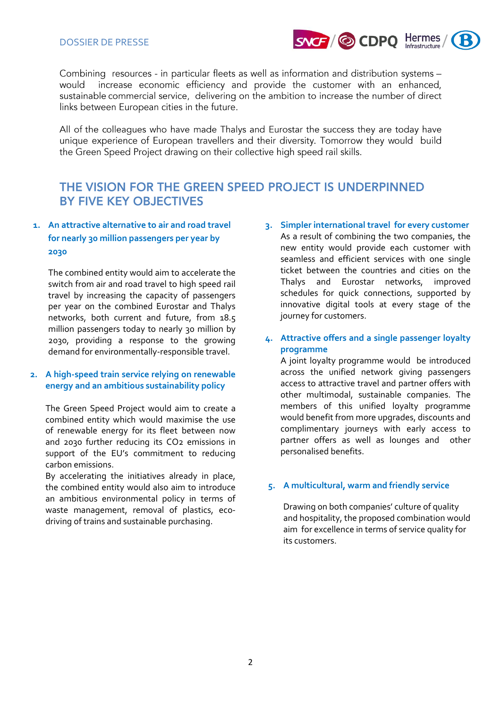

Combining resources - in particular fleets as well as information and distribution systems would increase economic efficiency and provide the customer with an enhanced, sustainable commercial service, delivering on the ambition to increase the number of direct links between European cities in the future.

All of the colleagues who have made Thalys and Eurostar the success they are today have unique experience of European travellers and their diversity. Tomorrow they would build the Green Speed Project drawing on their collective high speed rail skills.

## THE VISION FOR THE GREEN SPEED PROJECT IS UNDERPINNED BY FIVE KEY OBJECTIVES

## **1. An attractive alternative to air and road travel for nearly 30 million passengers per year by 2030**

The combined entity would aim to accelerate the switch from air and road travel to high speed rail travel by increasing the capacity of passengers per year on the combined Eurostar and Thalys networks, both current and future, from 18.5 million passengers today to nearly 30 million by 2030, providing a response to the growing demand for environmentally-responsible travel.

## **2. A high-speed train service relying on renewable energy and an ambitious sustainability policy**

The Green Speed Project would aim to create a combined entity which would maximise the use of renewable energy for its fleet between now and 2030 further reducing its CO2 emissions in support of the EU's commitment to reducing carbon emissions.

By accelerating the initiatives already in place, the combined entity would also aim to introduce an ambitious environmental policy in terms of waste management, removal of plastics, ecodriving of trains and sustainable purchasing.

**3. Simpler international travel for every customer** As a result of combining the two companies, the new entity would provide each customer with seamless and efficient services with one single ticket between the countries and cities on the Thalys and Eurostar networks, improved schedules for quick connections, supported by innovative digital tools at every stage of the journey for customers.

## **4. Attractive offers and a single passenger loyalty programme**

A joint loyalty programme would be introduced across the unified network giving passengers access to attractive travel and partner offers with other multimodal, sustainable companies. The members of this unified loyalty programme would benefit from more upgrades, discounts and complimentary journeys with early access to partner offers as well as lounges and other personalised benefits.

## **5. A multicultural, warm and friendly service**

Drawing on both companies' culture of quality and hospitality, the proposed combination would aim for excellence in terms of service quality for its customers.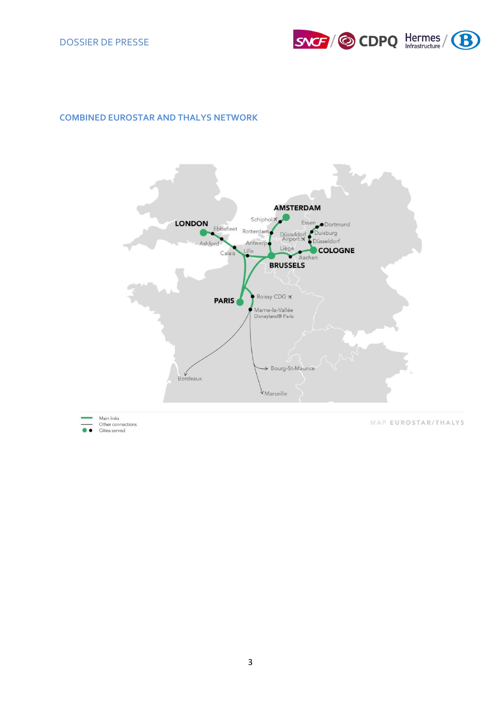

## **COMBINED EUROSTAR AND THALYS NETWORK**



3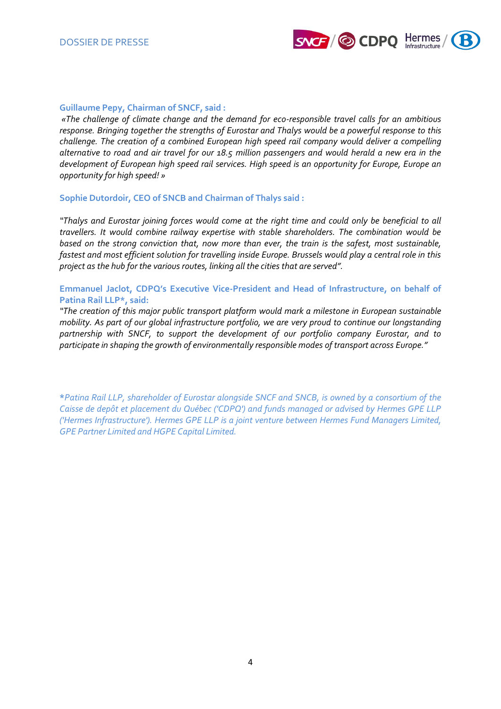

#### **Guillaume Pepy, Chairman of SNCF, said :**

*«The challenge of climate change and the demand for eco-responsible travel calls for an ambitious response. Bringing together the strengths of Eurostar and Thalys would be a powerful response to this challenge. The creation of a combined European high speed rail company would deliver a compelling alternative to road and air travel for our 18.5 million passengers and would herald a new era in the development of European high speed rail services. High speed is an opportunity for Europe, Europe an opportunity for high speed! »*

#### **Sophie Dutordoir, CEO of SNCB and Chairman of Thalys said :**

*"Thalys and Eurostar joining forces would come at the right time and could only be beneficial to all travellers. It would combine railway expertise with stable shareholders. The combination would be based on the strong conviction that, now more than ever, the train is the safest, most sustainable, fastest and most efficient solution for travelling inside Europe. Brussels would play a central role in this project as the hub for the various routes, linking all the cities that are served".*

### **Emmanuel Jaclot, CDPQ's Executive Vice-President and Head of Infrastructure, on behalf of Patina Rail LLP\*, said:**

*"The creation of this major public transport platform would mark a milestone in European sustainable mobility. As part of our global infrastructure portfolio, we are very proud to continue our longstanding partnership with SNCF, to support the development of our portfolio company Eurostar, and to participate in shaping the growth of environmentally responsible modes of transport across Europe."*

**\****Patina Rail LLP, shareholder of Eurostar alongside SNCF and SNCB, is owned by a consortium of the Caisse de depôt et placement du Québec ('CDPQ') and funds managed or advised by Hermes GPE LLP ('Hermes Infrastructure'). Hermes GPE LLP is a joint venture between Hermes Fund Managers Limited, GPE Partner Limited and HGPE Capital Limited.*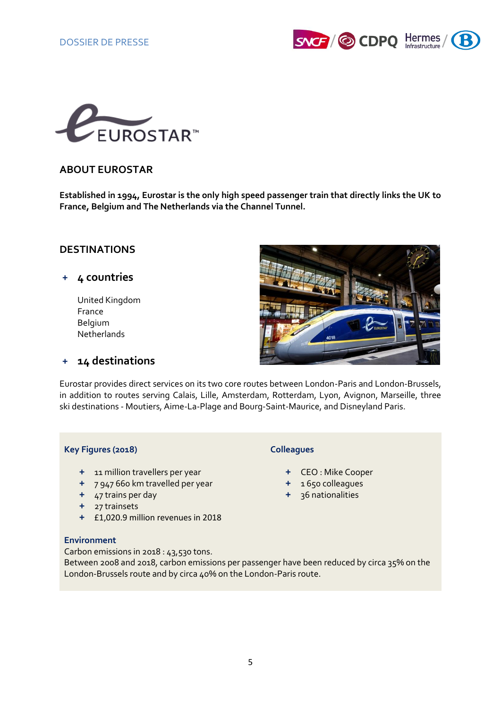



## **ABOUT EUROSTAR**

**Established in 1994, Eurostar is the only high speed passenger train that directly links the UK to France, Belgium and The Netherlands via the Channel Tunnel.** 

## **DESTINATIONS**

## **+ 4 countries**

United Kingdom France Belgium Netherlands



## **+ 14 destinations**

Eurostar provides direct services on its two core routes between London-Paris and London-Brussels, in addition to routes serving Calais, Lille, Amsterdam, Rotterdam, Lyon, Avignon, Marseille, three ski destinations - Moutiers, Aime-La-Plage and Bourg-Saint-Maurice, and Disneyland Paris.

### **Key Figures (2018) Colleagues**

- **+** 11 million travellers per year **+** CEO : Mike Cooper
- **+** 7 947 660 km travelled per year **+** 1 650 colleagues
- **+** 47 trains per day **+** 36 nationalities
- **+** 27 trainsets
- **+** £1,020.9 million revenues in 2018

## **Environment**

Carbon emissions in 2018 : 43,530 tons.

Between 2008 and 2018, carbon emissions per passenger have been reduced by circa 35% on the London-Brussels route and by circa 40% on the London-Paris route.

- 
- 
-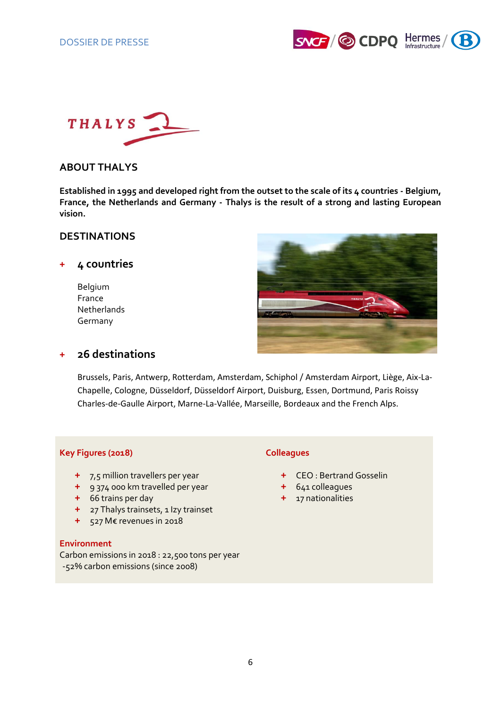



## **ABOUT THALYS**

**Established in 1995 and developed right from the outset to the scale of its 4 countries - Belgium, France, the Netherlands and Germany - Thalys is the result of a strong and lasting European vision.**

## **DESTINATIONS**

## **+ 4 countries**

Belgium France **Netherlands** Germany



## **+ 26 destinations**

Brussels, Paris, Antwerp, Rotterdam, Amsterdam, Schiphol / Amsterdam Airport, Liège, Aix-La-Chapelle, Cologne, Düsseldorf, Düsseldorf Airport, Duisburg, Essen, Dortmund, Paris Roissy Charles-de-Gaulle Airport, Marne-La-Vallée, Marseille, Bordeaux and the French Alps.

### **Key Figures (2018) Colleagues**

- **+** 7,5 million travellers per year **+** CEO : Bertrand Gosselin
- **+** 9 374 000 km travelled per year **+** 641 colleagues
- **+** 66 trains per day **+** 17 nationalities
- **+** 27 Thalys trainsets, 1 Izy trainset
- **+** 527 M€ revenues in 2018

### **Environment**

Carbon emissions in 2018 : 22,500 tons per year -52% carbon emissions (since 2008)

- 
- 
-